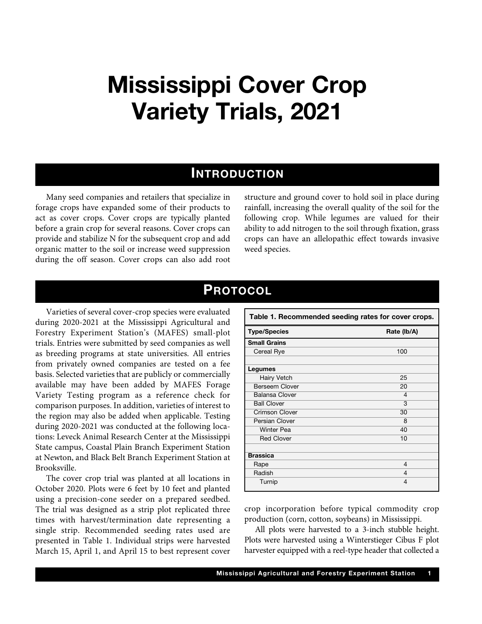## **Mississippi Cover Crop Variety Trials, 2021**

## **INTRODUCTION**

Many seed companies and retailers that specialize in forage crops have expanded some of their products to act as cover crops. Cover crops are typically planted before a grain crop for several reasons. Cover crops can provide and stabilize N for the subsequent crop and add organic matter to the soil or increase weed suppression during the off season. Cover crops can also add root structure and ground cover to hold soil in place during rainfall, increasing the overall quality of the soil for the following crop. While legumes are valued for their ability to add nitrogen to the soil through fixation, grass crops can have an allelopathic effect towards invasive weed species.

## **PROTOCOL**

Varieties of several cover-crop species were evaluated during 2020-2021 at the Mississippi Agricultural and Forestry Experiment Station's (MAFES) small-plot trials. Entries were submitted by seed companies as well as breeding programs at state universities. All entries from privately owned companies are tested on a fee basis. Selected varieties that are publicly or commercially available may have been added by MAFES Forage Variety Testing program as a reference check for comparison purposes. In addition, varieties of interest to the region may also be added when applicable. Testing during 2020-2021 was conducted at the following locations: Leveck Animal Research Center at the Mississippi State campus, Coastal Plain Branch Experiment Station at Newton, and Black Belt Branch Experiment Station at Brooksville.

The cover crop trial was planted at all locations in October 2020. Plots were 6 feet by 10 feet and planted using a precision-cone seeder on a prepared seedbed. The trial was designed as a strip plot replicated three times with harvest/termination date representing a single strip. Recommended seeding rates used are presented in Table 1. Individual strips were harvested March 15, April 1, and April 15 to best represent cover

| Table 1. Recommended seeding rates for cover crops. |                |  |  |
|-----------------------------------------------------|----------------|--|--|
| <b>Type/Species</b>                                 | Rate (lb/A)    |  |  |
| <b>Small Grains</b>                                 |                |  |  |
| Cereal Rye                                          | 100            |  |  |
|                                                     |                |  |  |
| Legumes                                             |                |  |  |
| <b>Hairy Vetch</b>                                  | 25             |  |  |
| <b>Berseem Clover</b>                               | 20             |  |  |
| <b>Balansa Clover</b>                               | 4              |  |  |
| <b>Ball Clover</b>                                  | 3              |  |  |
| <b>Crimson Clover</b>                               | 30             |  |  |
| Persian Clover                                      | 8              |  |  |
| <b>Winter Pea</b>                                   | 40             |  |  |
| <b>Red Clover</b>                                   | 10             |  |  |
|                                                     |                |  |  |
| <b>Brassica</b>                                     |                |  |  |
| Rape                                                | $\overline{4}$ |  |  |
| Radish                                              | 4              |  |  |
| Turnip                                              | 4              |  |  |
|                                                     |                |  |  |

crop incorporation before typical commodity crop production (corn, cotton, soybeans) in Mississippi.

All plots were harvested to a 3-inch stubble height. Plots were harvested using a Winterstieger Cibus F plot harvester equipped with a reel-type header that collected a